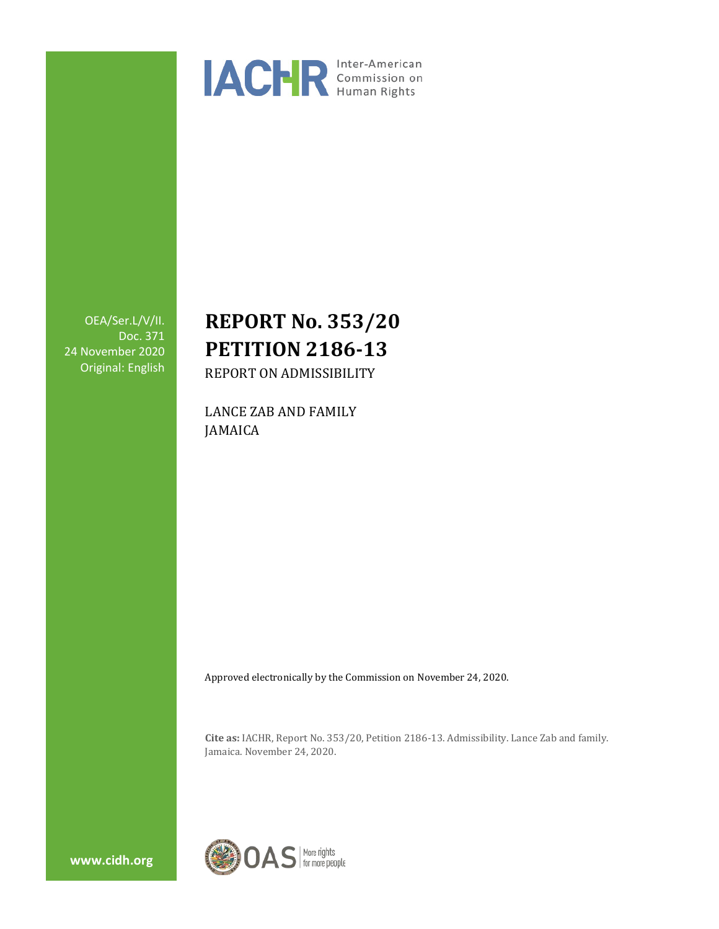

OEA/Ser.L/V/II. Doc. 371 24 November 2020 Original: English

# **REPORT No. 353/20 PETITION 2186-13**

REPORT ON ADMISSIBILITY

LANCE ZAB AND FAMILY JAMAICA

Approved electronically by the Commission on November 24, 2020.

**Cite as:** IACHR, Report No. 353/20, Petition 2186-13. Admissibility. Lance Zab and family. Jamaica. November 24, 2020.

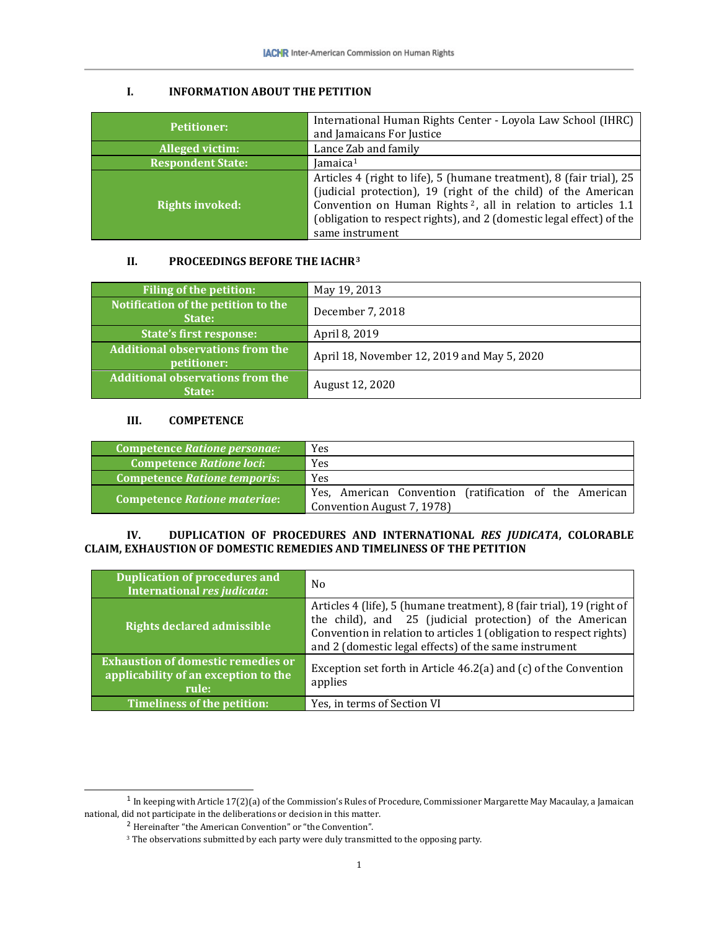## **I. INFORMATION ABOUT THE PETITION**

| <b>Petitioner:</b>       | International Human Rights Center - Loyola Law School (IHRC)<br>and Jamaicans For Justice                                                                                                                                                                                                                      |
|--------------------------|----------------------------------------------------------------------------------------------------------------------------------------------------------------------------------------------------------------------------------------------------------------------------------------------------------------|
| <b>Alleged victim:</b>   | Lance Zab and family                                                                                                                                                                                                                                                                                           |
| <b>Respondent State:</b> | Jamaica $1$                                                                                                                                                                                                                                                                                                    |
| <b>Rights invoked:</b>   | Articles 4 (right to life), 5 (humane treatment), 8 (fair trial), 25<br>(judicial protection), 19 (right of the child) of the American<br>Convention on Human Rights <sup>2</sup> , all in relation to articles 1.1<br>(obligation to respect rights), and 2 (domestic legal effect) of the<br>same instrument |

## **II. PROCEEDINGS BEFORE THE IACHR[3](#page-1-2)**

| <b>Filing of the petition:</b>                         | May 19, 2013                                |
|--------------------------------------------------------|---------------------------------------------|
| Notification of the petition to the<br>State:          | December 7, 2018                            |
| <b>State's first response:</b>                         | April 8, 2019                               |
| <b>Additional observations from the</b><br>petitioner: | April 18, November 12, 2019 and May 5, 2020 |
| <b>Additional observations from the</b><br>State:      | August 12, 2020                             |

## **III. COMPETENCE**

| <b>Competence Ratione personae:</b> | Yes                                                                                  |
|-------------------------------------|--------------------------------------------------------------------------------------|
| <b>Competence Ratione loci:</b>     | <b>Yes</b>                                                                           |
| <b>Competence Ratione temporis:</b> | <b>Yes</b>                                                                           |
| <b>Competence Ratione materiae:</b> | Yes, American Convention (ratification of the American<br>Convention August 7, 1978) |

#### **IV. DUPLICATION OF PROCEDURES AND INTERNATIONAL** *RES JUDICATA***, COLORABLE CLAIM, EXHAUSTION OF DOMESTIC REMEDIES AND TIMELINESS OF THE PETITION**

| <b>Duplication of procedures and</b><br>International res judicata:                        | N <sub>0</sub>                                                                                                                                                                                                                                                    |
|--------------------------------------------------------------------------------------------|-------------------------------------------------------------------------------------------------------------------------------------------------------------------------------------------------------------------------------------------------------------------|
| <b>Rights declared admissible</b>                                                          | Articles 4 (life), 5 (humane treatment), 8 (fair trial), 19 (right of<br>the child), and 25 (judicial protection) of the American<br>Convention in relation to articles 1 (obligation to respect rights)<br>and 2 (domestic legal effects) of the same instrument |
| <b>Exhaustion of domestic remedies or</b><br>applicability of an exception to the<br>rule: | Exception set forth in Article 46.2(a) and (c) of the Convention<br>applies                                                                                                                                                                                       |
| Timeliness of the petition:                                                                | Yes, in terms of Section VI                                                                                                                                                                                                                                       |

<span id="page-1-2"></span><span id="page-1-1"></span><span id="page-1-0"></span> $^{\rm 1}$  In keeping with Article 17(2)(a) of the Commission's Rules of Procedure, Commissioner Margarette May Macaulay, a Jamaican national, did not participate in the deliberations or decision in this matter.

 $\frac{1}{2}$  Hereinafter "the American Convention" or "the Convention".

<sup>&</sup>lt;sup>3</sup> The observations submitted by each party were duly transmitted to the opposing party.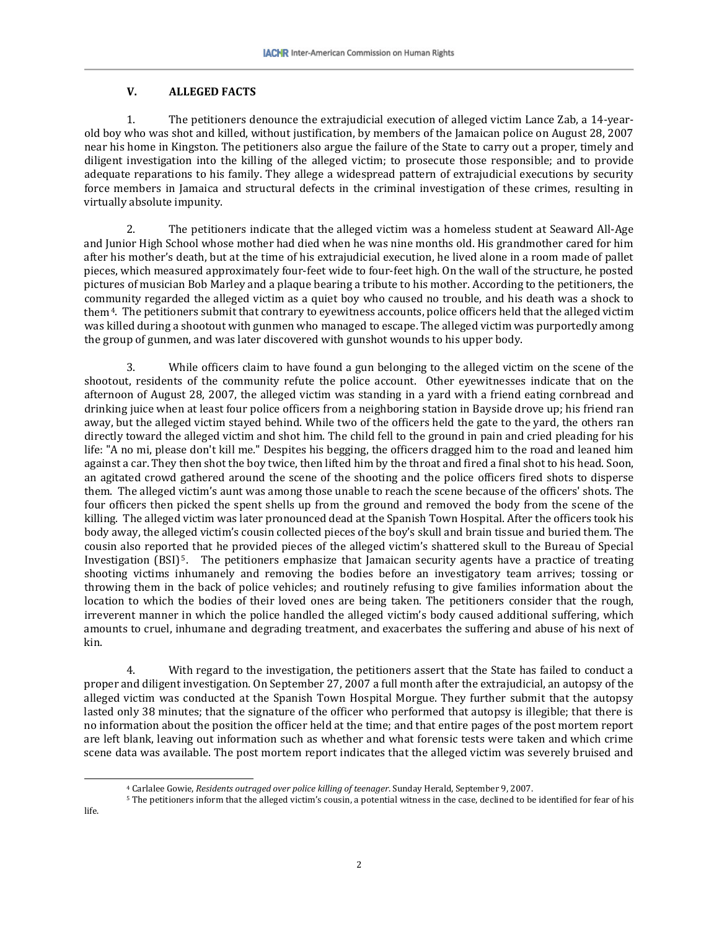## **V. ALLEGED FACTS**

1. The petitioners denounce the extrajudicial execution of alleged victim Lance Zab, a 14-yearold boy who was shot and killed, without justification, by members of the Jamaican police on August 28, 2007 near his home in Kingston. The petitioners also argue the failure of the State to carry out a proper, timely and diligent investigation into the killing of the alleged victim; to prosecute those responsible; and to provide adequate reparations to his family. They allege a widespread pattern of extrajudicial executions by security force members in Jamaica and structural defects in the criminal investigation of these crimes, resulting in virtually absolute impunity.

2. The petitioners indicate that the alleged victim was a homeless student at Seaward All-Age and Junior High School whose mother had died when he was nine months old. His grandmother cared for him after his mother's death, but at the time of his extrajudicial execution, he lived alone in a room made of pallet pieces, which measured approximately four-feet wide to four-feet high. On the wall of the structure, he posted pictures of musician Bob Marley and a plaque bearing a tribute to his mother. According to the petitioners, the community regarded the alleged victim as a quiet boy who caused no trouble, and his death was a shock to them<sup>[4](#page-2-0)</sup>. The petitioners submit that contrary to eyewitness accounts, police officers held that the alleged victim was killed during a shootout with gunmen who managed to escape. The alleged victim was purportedly among the group of gunmen, and was later discovered with gunshot wounds to his upper body.

3. While officers claim to have found a gun belonging to the alleged victim on the scene of the shootout, residents of the community refute the police account. Other eyewitnesses indicate that on the afternoon of August 28, 2007, the alleged victim was standing in a yard with a friend eating cornbread and drinking juice when at least four police officers from a neighboring station in Bayside drove up; his friend ran away, but the alleged victim stayed behind. While two of the officers held the gate to the yard, the others ran directly toward the alleged victim and shot him. The child fell to the ground in pain and cried pleading for his life: "A no mi, please don't kill me." Despites his begging, the officers dragged him to the road and leaned him against a car. They then shot the boy twice, then lifted him by the throat and fired a final shot to his head. Soon, an agitated crowd gathered around the scene of the shooting and the police officers fired shots to disperse them. The alleged victim's aunt was among those unable to reach the scene because of the officers' shots. The four officers then picked the spent shells up from the ground and removed the body from the scene of the killing. The alleged victim was later pronounced dead at the Spanish Town Hospital. After the officers took his body away, the alleged victim's cousin collected pieces of the boy's skull and brain tissue and buried them. The cousin also report[ed](#page-2-1) that he provided pieces of the alleged victim's shattered skull to the Bureau of Special Investigation (BSI)<sup>5</sup>. The petitioners emphasize that Jamaican security agents have a practice of treating shooting victims inhumanely and removing the bodies before an investigatory team arrives; tossing or throwing them in the back of police vehicles; and routinely refusing to give families information about the location to which the bodies of their loved ones are being taken. The petitioners consider that the rough, irreverent manner in which the police handled the alleged victim's body caused additional suffering, which amounts to cruel, inhumane and degrading treatment, and exacerbates the suffering and abuse of his next of kin.

4. With regard to the investigation, the petitioners assert that the State has failed to conduct a proper and diligent investigation. On September 27, 2007 a full month after the extrajudicial, an autopsy of the alleged victim was conducted at the Spanish Town Hospital Morgue. They further submit that the autopsy lasted only 38 minutes; that the signature of the officer who performed that autopsy is illegible; that there is no information about the position the officer held at the time; and that entire pages of the post mortem report are left blank, leaving out information such as whether and what forensic tests were taken and which crime scene data was available. The post mortem report indicates that the alleged victim was severely bruised and

<span id="page-2-1"></span><span id="page-2-0"></span>life.

 <sup>4</sup> Carlalee Gowie, *Residents outraged over police killing of teenager*. Sunday Herald, September 9, 2007.

<sup>5</sup> The petitioners inform that the alleged victim's cousin, a potential witness in the case, declined to be identified for fear of his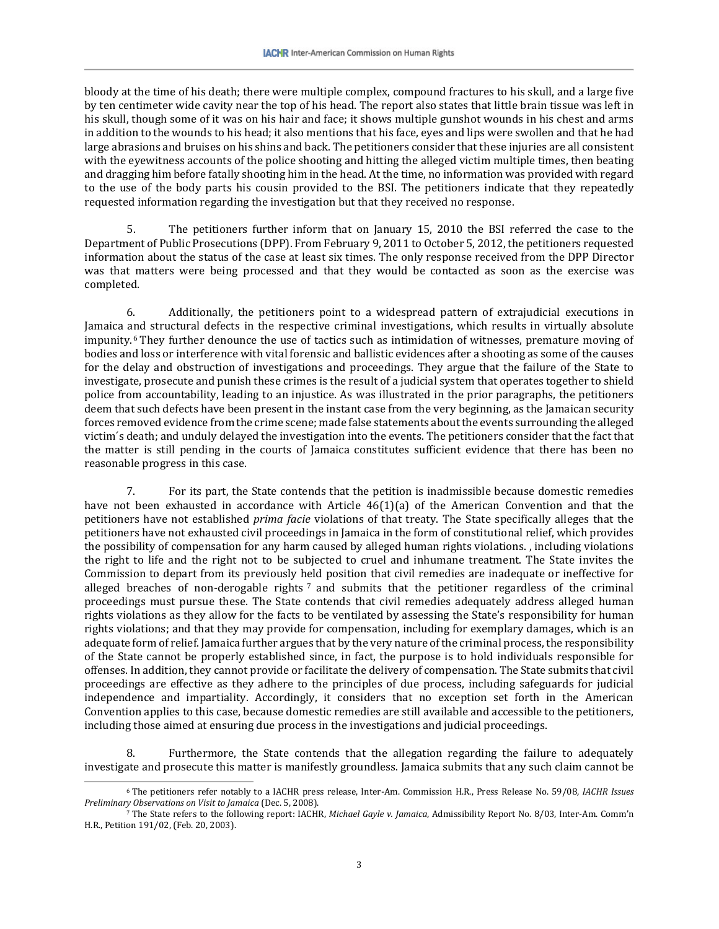bloody at the time of his death; there were multiple complex, compound fractures to his skull, and a large five by ten centimeter wide cavity near the top of his head. The report also states that little brain tissue was left in his skull, though some of it was on his hair and face; it shows multiple gunshot wounds in his chest and arms in addition to the wounds to his head; it also mentions that his face, eyes and lips were swollen and that he had large abrasions and bruises on his shins and back. The petitioners consider that these injuries are all consistent with the eyewitness accounts of the police shooting and hitting the alleged victim multiple times, then beating and dragging him before fatally shooting him in the head. At the time, no information was provided with regard to the use of the body parts his cousin provided to the BSI. The petitioners indicate that they repeatedly requested information regarding the investigation but that they received no response.

5. The petitioners further inform that on January 15, 2010 the BSI referred the case to the Department of Public Prosecutions (DPP). From February 9, 2011 to October 5, 2012, the petitioners requested information about the status of the case at least six times. The only response received from the DPP Director was that matters were being processed and that they would be contacted as soon as the exercise was completed.

6. Additionally, the petitioners point to a widespread pattern of extrajudicial executions in Jamaica and structural defects in the respective criminal investigations, which results in virtually absolute impunity.[6](#page-3-0) They further denounce the use of tactics such as intimidation of witnesses, premature moving of bodies and loss or interference with vital forensic and ballistic evidences after a shooting as some of the causes for the delay and obstruction of investigations and proceedings. They argue that the failure of the State to investigate, prosecute and punish these crimes is the result of a judicial system that operates together to shield police from accountability, leading to an injustice. As was illustrated in the prior paragraphs, the petitioners deem that such defects have been present in the instant case from the very beginning, as the Jamaican security forces removed evidence from the crime scene; made false statements aboutthe events surrounding the alleged victim´s death; and unduly delayed the investigation into the events. The petitioners consider that the fact that the matter is still pending in the courts of Jamaica constitutes sufficient evidence that there has been no reasonable progress in this case.

7. For its part, the State contends that the petition is inadmissible because domestic remedies have not been exhausted in accordance with Article 46(1)(a) of the American Convention and that the petitioners have not established *prima facie* violations of that treaty. The State specifically alleges that the petitioners have not exhausted civil proceedings in Jamaica in the form of constitutional relief, which provides the possibility of compensation for any harm caused by alleged human rights violations. , including violations the right to life and the right not to be subjected to cruel and inhumane treatment. The State invites the Commission to depart from its previously h[e](#page-3-1)ld position that civil remedies are inadequate or ineffective for alleged breaches of non-derogable rights<sup>7</sup> and submits that the petitioner regardless of the criminal proceedings must pursue these. The State contends that civil remedies adequately address alleged human rights violations as they allow for the facts to be ventilated by assessing the State's responsibility for human rights violations; and that they may provide for compensation, including for exemplary damages, which is an adequate form of relief. Jamaica further argues that by the very nature of the criminal process, the responsibility of the State cannot be properly established since, in fact, the purpose is to hold individuals responsible for offenses. In addition, they cannot provide or facilitate the delivery of compensation. The State submits that civil proceedings are effective as they adhere to the principles of due process, including safeguards for judicial independence and impartiality. Accordingly, it considers that no exception set forth in the American Convention applies to this case, because domestic remedies are still available and accessible to the petitioners, including those aimed at ensuring due process in the investigations and judicial proceedings.

8. Furthermore, the State contends that the allegation regarding the failure to adequately investigate and prosecute this matter is manifestly groundless. Jamaica submits that any such claim cannot be

<span id="page-3-0"></span> <sup>6</sup> The petitioners refer notably to <sup>a</sup> IACHR press release, Inter-Am. Commission H.R., Press Release No. 59/08, *IACHR Issues Preliminary Observations on Visit to Jamaica* (Dec. 5, 2008).

<span id="page-3-1"></span><sup>7</sup> The State refers to the following report: IACHR, *Michael Gayle v. Jamaica*, Admissibility Report No. 8/03, Inter-Am. Comm'n H.R., Petition 191/02, (Feb. 20, 2003).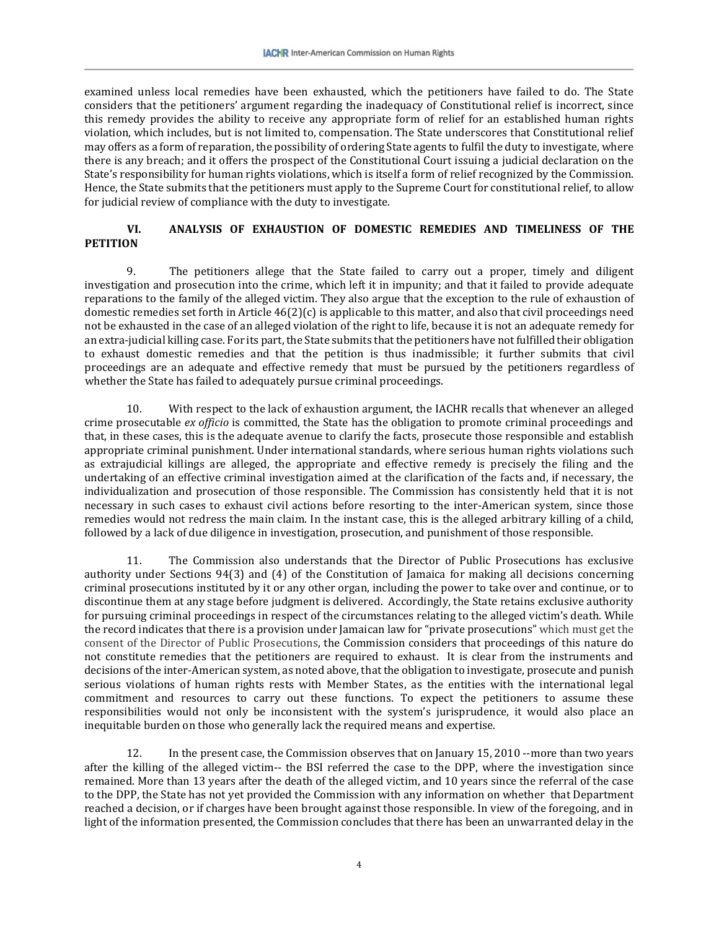examined unless local remedies have been exhausted, which the petitioners have failed to do. The State considers that the petitioners' argument regarding the inadequacy of Constitutional relief is incorrect, since this remedy provides the ability to receive any appropriate form of relief for an established human rights violation, which includes, but is not limited to, compensation. The State underscores that Constitutional relief may offers as a form of reparation, the possibility of ordering State agents to fulfil the duty to investigate, where there is any breach; and it offers the prospect of the Constitutional Court issuing a judicial declaration on the State's responsibility for human rights violations, which is itself a form of relief recognized by the Commission. Hence, the State submits that the petitioners must apply to the Supreme Court for constitutional relief, to allow for judicial review of compliance with the duty to investigate.

## **VI. ANALYSIS OF EXHAUSTION OF DOMESTIC REMEDIES AND TIMELINESS OF THE PETITION**

9. The petitioners allege that the State failed to carry out a proper, timely and diligent investigation and prosecution into the crime, which left it in impunity; and that it failed to provide adequate reparations to the family of the alleged victim. They also argue that the exception to the rule of exhaustion of domestic remedies set forth in Article  $46(2)(c)$  is applicable to this matter, and also that civil proceedings need not be exhausted in the case of an alleged violation of the right to life, because it is not an adequate remedy for an extra-judicial killing case. For its part, the State submits that the petitioners have not fulfilled their obligation to exhaust domestic remedies and that the petition is thus inadmissible; it further submits that civil proceedings are an adequate and effective remedy that must be pursued by the petitioners regardless of whether the State has failed to adequately pursue criminal proceedings.

10. With respect to the lack of exhaustion argument, the IACHR recalls that whenever an alleged crime prosecutable *ex officio* is committed, the State has the obligation to promote criminal proceedings and that, in these cases, this is the adequate avenue to clarify the facts, prosecute those responsible and establish appropriate criminal punishment. Under international standards, where serious human rights violations such as extrajudicial killings are alleged, the appropriate and effective remedy is precisely the filing and the undertaking of an effective criminal investigation aimed at the clarification of the facts and, if necessary, the individualization and prosecution of those responsible. The Commission has consistently held that it is not necessary in such cases to exhaust civil actions before resorting to the inter-American system, since those remedies would not redress the main claim. In the instant case, this is the alleged arbitrary killing of a child, followed by a lack of due diligence in investigation, prosecution, and punishment of those responsible.

11. The Commission also understands that the Director of Public Prosecutions has exclusive authority under Sections 94(3) and (4) of the Constitution of Jamaica for making all decisions concerning criminal prosecutions instituted by it or any other organ, including the power to take over and continue, or to discontinue them at any stage before judgment is delivered. Accordingly, the State retains exclusive authority for pursuing criminal proceedings in respect of the circumstances relating to the alleged victim's death. While the record indicates that there is a provision under Jamaican law for "private prosecutions" which must get the consent of the Director of Public Prosecutions, the Commission considers that proceedings of this nature do not constitute remedies that the petitioners are required to exhaust. It is clear from the instruments and decisions of the inter-American system, as noted above, that the obligation to investigate, prosecute and punish serious violations of human rights rests with Member States, as the entities with the international legal commitment and resources to carry out these functions. To expect the petitioners to assume these responsibilities would not only be inconsistent with the system's jurisprudence, it would also place an inequitable burden on those who generally lack the required means and expertise.

12. In the present case, the Commission observes that on January 15, 2010 --more than two years after the killing of the alleged victim-- the BSI referred the case to the DPP, where the investigation since remained. More than 13 years after the death of the alleged victim, and 10 years since the referral of the case to the DPP, the State has not yet provided the Commission with any information on whether that Department reached a decision, or if charges have been brought against those responsible. In view of the foregoing, and in light of the information presented, the Commission concludes that there has been an unwarranted delay in the